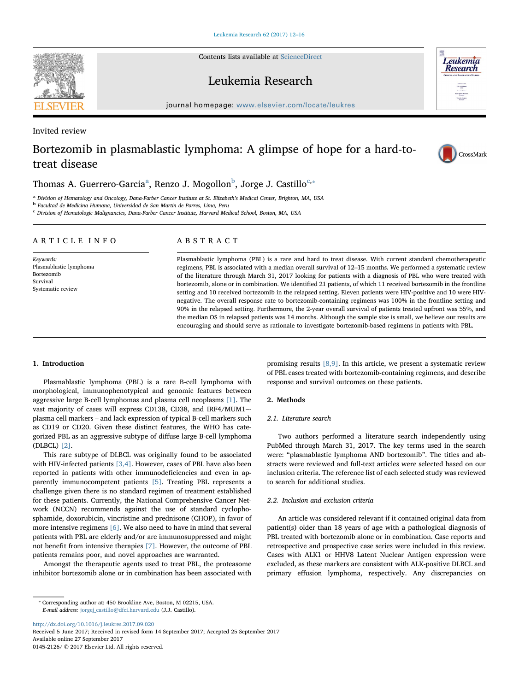Contents lists available at [ScienceDirect](http://www.sciencedirect.com/science/journal/01452126)

# Leukemia Research

journal homepage: [www.elsevier.com/locate/leukres](https://www.elsevier.com/locate/leukres)

Invited review

# Bortezomib in plasmablastic lymphoma: A glimpse of hope for a hard-totreat disease



**Leukemia Research** 

Thom[a](#page-0-0)s A. Guerrero-Garcia $^{\rm a}$ , Renzo J. Mogollon $^{\rm b}$  $^{\rm b}$  $^{\rm b}$ , Jorge J. Castillo $^{\rm c, *}$  $^{\rm c, *}$  $^{\rm c, *}$ 

<span id="page-0-0"></span><sup>a</sup> Division of Hematology and Oncology, Dana-Farber Cancer Institute at St. Elizabeth's Medical Center, Brighton, MA, USA b Facultad de Medicina Humana, Universidad de San Martin de Porres, Lima, Peru

<span id="page-0-1"></span>

<span id="page-0-2"></span> $\,^{\rm c}$  Division of Hematologic Malignancies, Dana-Farber Cancer Institute, Harvard Medical School, Boston, MA, USA

# ARTICLE INFO

Keywords: Plasmablastic lymphoma Bortezomib Survival Systematic review

# ABSTRACT

Plasmablastic lymphoma (PBL) is a rare and hard to treat disease. With current standard chemotherapeutic regimens, PBL is associated with a median overall survival of 12–15 months. We performed a systematic review of the literature through March 31, 2017 looking for patients with a diagnosis of PBL who were treated with bortezomib, alone or in combination. We identified 21 patients, of which 11 received bortezomib in the frontline setting and 10 received bortezomib in the relapsed setting. Eleven patients were HIV-positive and 10 were HIVnegative. The overall response rate to bortezomib-containing regimens was 100% in the frontline setting and 90% in the relapsed setting. Furthermore, the 2-year overall survival of patients treated upfront was 55%, and the median OS in relapsed patients was 14 months. Although the sample size is small, we believe our results are encouraging and should serve as rationale to investigate bortezomib-based regimens in patients with PBL.

# 1. Introduction

Plasmablastic lymphoma (PBL) is a rare B-cell lymphoma with morphological, immunophenotypical and genomic features between aggressive large B-cell lymphomas and plasma cell neoplasms [\[1\].](#page-3-0) The vast majority of cases will express CD138, CD38, and IRF4/MUM1– plasma cell markers – and lack expression of typical B-cell markers such as CD19 or CD20. Given these distinct features, the WHO has categorized PBL as an aggressive subtype of diffuse large B-cell lymphoma (DLBCL) [\[2\]](#page-3-1).

This rare subtype of DLBCL was originally found to be associated with HIV-infected patients [\[3,4\].](#page-3-2) However, cases of PBL have also been reported in patients with other immunodeficiencies and even in apparently immunocompetent patients [\[5\].](#page-3-3) Treating PBL represents a challenge given there is no standard regimen of treatment established for these patients. Currently, the National Comprehensive Cancer Network (NCCN) recommends against the use of standard cyclophosphamide, doxorubicin, vincristine and prednisone (CHOP), in favor of more intensive regimens [\[6\]](#page-3-4). We also need to have in mind that several patients with PBL are elderly and/or are immunosuppressed and might not benefit from intensive therapies [\[7\]](#page-3-5). However, the outcome of PBL patients remains poor, and novel approaches are warranted.

Amongst the therapeutic agents used to treat PBL, the proteasome inhibitor bortezomib alone or in combination has been associated with promising results [\[8,9\]](#page-3-6). In this article, we present a systematic review of PBL cases treated with bortezomib-containing regimens, and describe response and survival outcomes on these patients.

#### 2. Methods

#### 2.1. Literature search

Two authors performed a literature search independently using PubMed through March 31, 2017. The key terms used in the search were: "plasmablastic lymphoma AND bortezomib". The titles and abstracts were reviewed and full-text articles were selected based on our inclusion criteria. The reference list of each selected study was reviewed to search for additional studies.

### 2.2. Inclusion and exclusion criteria

An article was considered relevant if it contained original data from patient(s) older than 18 years of age with a pathological diagnosis of PBL treated with bortezomib alone or in combination. Case reports and retrospective and prospective case series were included in this review. Cases with ALK1 or HHV8 Latent Nuclear Antigen expression were excluded, as these markers are consistent with ALK-positive DLBCL and primary effusion lymphoma, respectively. Any discrepancies on

<http://dx.doi.org/10.1016/j.leukres.2017.09.020>

Received 5 June 2017; Received in revised form 14 September 2017; Accepted 25 September 2017 Available online 27 September 2017 0145-2126/ © 2017 Elsevier Ltd. All rights reserved.



<span id="page-0-3"></span><sup>⁎</sup> Corresponding author at: 450 Brookline Ave, Boston, M 02215, USA. E-mail address: [jorgej\\_castillo@dfci.harvard.edu](mailto:jorgej_castillo@dfci.harvard.edu) (J.J. Castillo).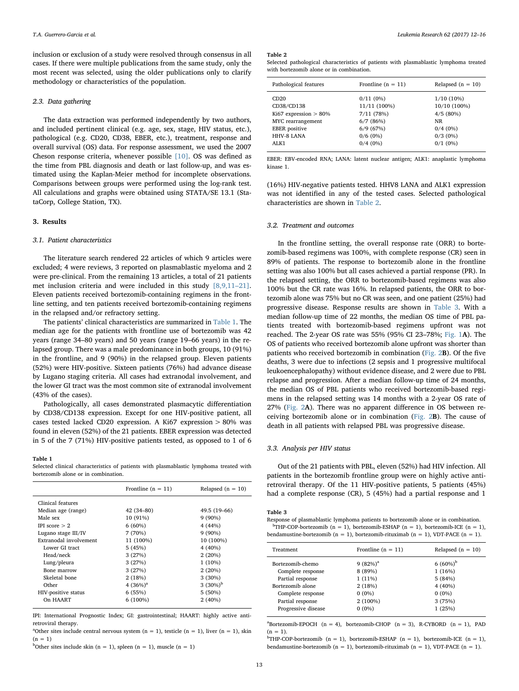inclusion or exclusion of a study were resolved through consensus in all cases. If there were multiple publications from the same study, only the most recent was selected, using the older publications only to clarify methodology or characteristics of the population.

## 2.3. Data gathering

The data extraction was performed independently by two authors, and included pertinent clinical (e.g. age, sex, stage, HIV status, etc.), pathological (e.g. CD20, CD38, EBER, etc.), treatment, response and overall survival (OS) data. For response assessment, we used the 2007 Cheson response criteria, whenever possible [\[10\]](#page-3-7). OS was defined as the time from PBL diagnosis and death or last follow-up, and was estimated using the Kaplan-Meier method for incomplete observations. Comparisons between groups were performed using the log-rank test. All calculations and graphs were obtained using STATA/SE 13.1 (StataCorp, College Station, TX).

#### 3. Results

# 3.1. Patient characteristics

The literature search rendered 22 articles of which 9 articles were excluded; 4 were reviews, 3 reported on plasmablastic myeloma and 2 were pre-clinical. From the remaining 13 articles, a total of 21 patients met inclusion criteria and were included in this study [\[8,9,11](#page-3-6)–21]. Eleven patients received bortezomib-containing regimens in the frontline setting, and ten patients received bortezomib-containing regimens in the relapsed and/or refractory setting.

The patients' clinical characteristics are summarized in [Table 1](#page-1-0). The median age for the patients with frontline use of bortezomib was 42 years (range 34–80 years) and 50 years (range 19–66 years) in the relapsed group. There was a male predominance in both groups, 10 (91%) in the frontline, and 9 (90%) in the relapsed group. Eleven patients (52%) were HIV-positive. Sixteen patients (76%) had advance disease by Lugano staging criteria. All cases had extranodal involvement, and the lower GI tract was the most common site of extranodal involvement (43% of the cases).

Pathologically, all cases demonstrated plasmacytic differentiation by CD38/CD138 expression. Except for one HIV-positive patient, all cases tested lacked CD20 expression. A Ki67 expression > 80% was found in eleven (52%) of the 21 patients. EBER expression was detected in 5 of the 7 (71%) HIV-positive patients tested, as opposed to 1 of 6

#### <span id="page-1-0"></span>Table 1

Selected clinical characteristics of patients with plasmablastic lymphoma treated with bortezomib alone or in combination.

|                        | Frontline $(n = 11)$ | Relapsed $(n = 10)$ |
|------------------------|----------------------|---------------------|
| Clinical features      |                      |                     |
| Median age (range)     | 42 (34-80)           | 49.5 (19-66)        |
| Male sex               | 10 (91%)             | $9(90\%)$           |
| IPI score $> 2$        | $6(60\%)$            | 4(44%)              |
| Lugano stage III/IV    | 7(70%)               | $9(90\%)$           |
| Extranodal involvement | 11 (100%)            | 10 (100%)           |
| Lower GI tract         | 5(45%)               | $4(40\%)$           |
| Head/neck              | 3(27%)               | 2(20%)              |
| Lung/pleura            | 3(27%)               | $1(10\%)$           |
| Bone marrow            | 3(27%)               | 2(20%)              |
| Skeletal bone          | 2(18%)               | $3(30\%)$           |
| Other                  | 4 $(36%)^a$          | 3 $(30\%)^b$        |
| HIV-positive status    | 6(55%)               | 5(50%)              |
| On HAART               | $6(100\%)$           | 2(40%)              |
|                        |                      |                     |

IPI: International Prognostic Index; GI: gastrointestinal; HAART: highly active antiretroviral therapy.

<sup>a</sup>Other sites include central nervous system  $(n = 1)$ , testicle  $(n = 1)$ , liver  $(n = 1)$ , skin  $(n = 1)$ 

<sup>b</sup>Other sites include skin (n = 1), spleen (n = 1), muscle (n = 1)

#### <span id="page-1-1"></span>Table 2

Selected pathological characteristics of patients with plasmablastic lymphoma treated with bortezomib alone or in combination.

| Pathological features                                               | Frontline $(n = 11)$                             | Relapsed $(n = 10)$                                   |
|---------------------------------------------------------------------|--------------------------------------------------|-------------------------------------------------------|
| CD20<br>CD38/CD138<br>Ki67 expression $> 80\%$<br>MYC rearrangement | $0/11(0\%)$<br>11/11 (100%)<br>7/11(78%)         | $1/10(10\%)$<br>10/10 (100%)<br>4/5(80%)<br><b>NR</b> |
| <b>EBER</b> positive<br>HHV-8 LANA<br>ALK1                          | 6/7(86%)<br>6/9(67%)<br>$0/6(0\%)$<br>$0/4(0\%)$ | $0/4(0\%)$<br>$0/3$ (0%)<br>$0/1$ (0%)                |

EBER: EBV-encoded RNA; LANA: latent nuclear antigen; ALK1: anaplastic lymphoma kinase 1.

(16%) HIV-negative patients tested. HHV8 LANA and ALK1 expression was not identified in any of the tested cases. Selected pathological characteristics are shown in [Table 2](#page-1-1).

#### 3.2. Treatment and outcomes

In the frontline setting, the overall response rate (ORR) to bortezomib-based regimens was 100%, with complete response (CR) seen in 89% of patients. The response to bortezomib alone in the frontline setting was also 100% but all cases achieved a partial response (PR). In the relapsed setting, the ORR to bortezomib-based regimens was also 100% but the CR rate was 16%. In relapsed patients, the ORR to bortezomib alone was 75% but no CR was seen, and one patient (25%) had progressive disease. Response results are shown in [Table 3](#page-1-2). With a median follow-up time of 22 months, the median OS time of PBL patients treated with bortezomib-based regimens upfront was not reached. The 2-year OS rate was 55% (95% CI 23–78%; [Fig. 1](#page-2-0)A). The OS of patients who received bortezomib alone upfront was shorter than patients who received bortezomib in combination ([Fig. 2](#page-2-1)B). Of the five deaths, 3 were due to infections (2 sepsis and 1 progressive multifocal leukoencephalopathy) without evidence disease, and 2 were due to PBL relapse and progression. After a median follow-up time of 24 months, the median OS of PBL patients who received bortezomib-based regimens in the relapsed setting was 14 months with a 2-year OS rate of 27% ([Fig. 2](#page-2-1)A). There was no apparent difference in OS between receiving bortezomib alone or in combination [\(Fig. 2](#page-2-1)B). The cause of death in all patients with relapsed PBL was progressive disease.

#### 3.3. Analysis per HIV status

Out of the 21 patients with PBL, eleven (52%) had HIV infection. All patients in the bortezomib frontline group were on highly active antiretroviral therapy. Of the 11 HIV-positive patients, 5 patients (45%) had a complete response (CR), 5 (45%) had a partial response and 1

#### <span id="page-1-2"></span>Table 3

Response of plasmablastic lymphoma patients to bortezomib alone or in combination. <sup>b</sup>THP-COP-bortezomib (n = 1), bortezomib-ESHAP (n = 1), bortezomib-ICE (n = 1), bendamustine-bortezomib (n = 1), bortezomib-rituximab (n = 1), VDT-PACE (n = 1).

| Treatment                             | Frontline $(n = 11)$  | Relapsed $(n = 10)$    |
|---------------------------------------|-----------------------|------------------------|
| Bortezomib-chemo<br>Complete response | $9(82%)^a$<br>8 (89%) | 6 $(60\%)^b$<br>1(16%) |
| Partial response                      | $1(11\%)$             | 5(84%)                 |
| Bortezomib alone                      | 2(18%)                | 4(40%)                 |
| Complete response                     | $0(0\%)$              | $0(0\%)$               |
| Partial response                      | 2 (100%)              | 3(75%)                 |
| Progressive disease                   | $0(0\%)$              | 1(25%)                 |
|                                       |                       |                        |

 $a^a$ Bortezomib-EPOCH (n = 4), bortezomib-CHOP (n = 3), R-CYBORD (n = 1), PAD  $(n = 1)$ .

<sup>b</sup>THP-COP-bortezomib (n = 1), bortezomib-ESHAP (n = 1), bortezomib-ICE (n = 1), bendamustine-bortezomib (n = 1), bortezomib-rituximab (n = 1), VDT-PACE (n = 1).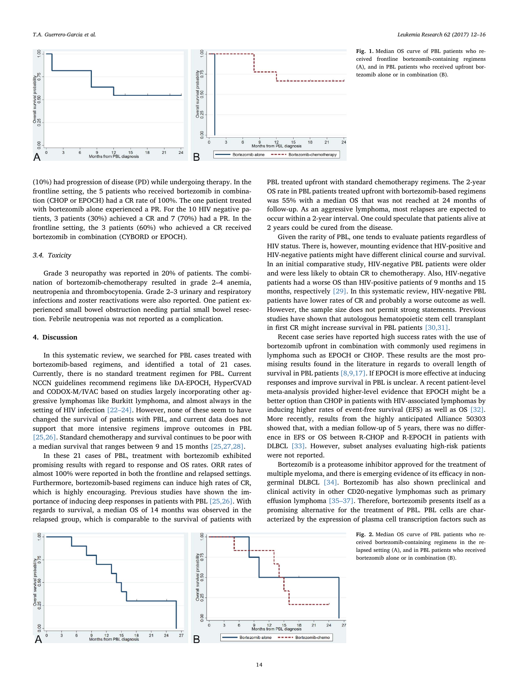<span id="page-2-0"></span>

Fig. 1. Median OS curve of PBL patients who received frontline bortezomib-containing regimens (A), and in PBL patients who received upfront bortezomib alone or in combination (B).

(10%) had progression of disease (PD) while undergoing therapy. In the frontline setting, the 5 patients who received bortezomib in combination (CHOP or EPOCH) had a CR rate of 100%. The one patient treated with bortezomib alone experienced a PR. For the 10 HIV negative patients, 3 patients (30%) achieved a CR and 7 (70%) had a PR. In the frontline setting, the 3 patients (60%) who achieved a CR received bortezomib in combination (CYBORD or EPOCH).

# 3.4. Toxicity

Grade 3 neuropathy was reported in 20% of patients. The combination of bortezomib-chemotherapy resulted in grade 2–4 anemia, neutropenia and thrombocytopenia. Grade 2–3 urinary and respiratory infections and zoster reactivations were also reported. One patient experienced small bowel obstruction needing partial small bowel resection. Febrile neutropenia was not reported as a complication.

# 4. Discussion

In this systematic review, we searched for PBL cases treated with bortezomib-based regimens, and identified a total of 21 cases. Currently, there is no standard treatment regimen for PBL. Current NCCN guidelines recommend regimens like DA-EPOCH, HyperCVAD and CODOX-M/IVAC based on studies largely incorporating other aggressive lymphomas like Burkitt lymphoma, and almost always in the setting of HIV infection [22–[24\].](#page-3-8) However, none of these seem to have changed the survival of patients with PBL, and current data does not support that more intensive regimens improve outcomes in PBL [\[25,26\].](#page-3-9) Standard chemotherapy and survival continues to be poor with a median survival that ranges between 9 and 15 months [\[25,27,28\].](#page-3-9)

In these 21 cases of PBL, treatment with bortezomib exhibited promising results with regard to response and OS rates. ORR rates of almost 100% were reported in both the frontline and relapsed settings. Furthermore, bortezomib-based regimens can induce high rates of CR, which is highly encouraging. Previous studies have shown the importance of inducing deep responses in patients with PBL [\[25,26\]](#page-3-9). With regards to survival, a median OS of 14 months was observed in the relapsed group, which is comparable to the survival of patients with

PBL treated upfront with standard chemotherapy regimens. The 2-year OS rate in PBL patients treated upfront with bortezomib-based regimens was 55% with a median OS that was not reached at 24 months of follow-up. As an aggressive lymphoma, most relapses are expected to occur within a 2-year interval. One could speculate that patients alive at 2 years could be cured from the disease.

Given the rarity of PBL, one tends to evaluate patients regardless of HIV status. There is, however, mounting evidence that HIV-positive and HIV-negative patients might have different clinical course and survival. In an initial comparative study, HIV-negative PBL patients were older and were less likely to obtain CR to chemotherapy. Also, HIV-negative patients had a worse OS than HIV-positive patients of 9 months and 15 months, respectively [\[29\].](#page-3-10) In this systematic review, HIV-negative PBL patients have lower rates of CR and probably a worse outcome as well. However, the sample size does not permit strong statements. Previous studies have shown that autologous hematopoietic stem cell transplant in first CR might increase survival in PBL patients [\[30,31\].](#page-3-11)

Recent case series have reported high success rates with the use of bortezomib upfront in combination with commonly used regimens in lymphoma such as EPOCH or CHOP. These results are the most promising results found in the literature in regards to overall length of survival in PBL patients [\[8,9,17\].](#page-3-6) If EPOCH is more effective at inducing responses and improve survival in PBL is unclear. A recent patient-level meta-analysis provided higher-level evidence that EPOCH might be a better option than CHOP in patients with HIV-associated lymphomas by inducing higher rates of event-free survival (EFS) as well as OS [\[32\]](#page-3-12). More recently, results from the highly anticipated Alliance 50303 showed that, with a median follow-up of 5 years, there was no difference in EFS or OS between R-CHOP and R-EPOCH in patients with DLBCL [\[33\]](#page-3-13). However, subset analyses evaluating high-risk patients were not reported.

Bortezomib is a proteasome inhibitor approved for the treatment of multiple myeloma, and there is emerging evidence of its efficacy in nongerminal DLBCL [\[34\]](#page-3-14). Bortezomib has also shown preclinical and clinical activity in other CD20-negative lymphomas such as primary effusion lymphoma [35–[37\]](#page-3-15). Therefore, bortezomib presents itself as a promising alternative for the treatment of PBL. PBL cells are characterized by the expression of plasma cell transcription factors such as

> Fig. 2. Median OS curve of PBL patients who received bortezomib-containing regimens in the relapsed setting (A), and in PBL patients who received bortezomib alone or in combination (B).

<span id="page-2-1"></span>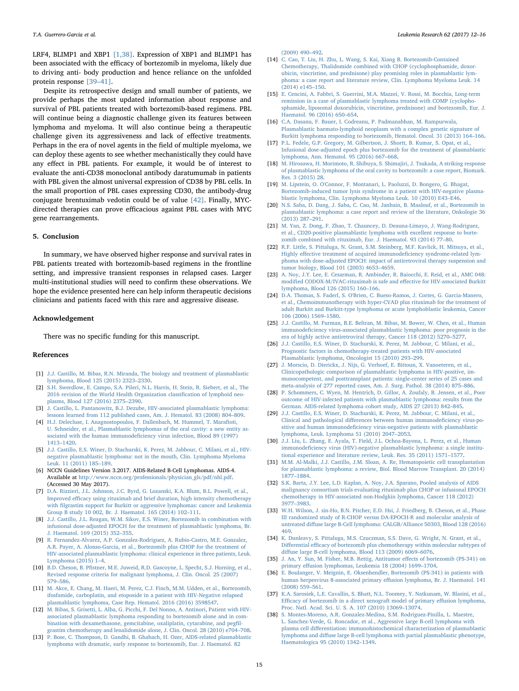LRF4, BLIMP1 and XBP1 [\[1,38\]](#page-3-0). Expression of XBP1 and BLIMP1 has been associated with the efficacy of bortezomib in myeloma, likely due to driving anti- body production and hence reliance on the unfolded protein response [39–[41\].](#page-4-0)

Despite its retrospective design and small number of patients, we provide perhaps the most updated information about response and survival of PBL patients treated with bortezomib-based regimens. PBL will continue being a diagnostic challenge given its features between lymphoma and myeloma. It will also continue being a therapeutic challenge given its aggressiveness and lack of effective treatments. Perhaps in the era of novel agents in the field of multiple myeloma, we can deploy these agents to see whether mechanistically they could have any effect in PBL patients. For example, it would be of interest to evaluate the anti-CD38 monoclonal antibody daratumumab in patients with PBL given the almost universal expression of CD38 by PBL cells. In the small proportion of PBL cases expressing CD30, the antibody-drug conjugate brentuximab vedotin could be of value [\[42\]](#page-4-1). Finally, MYCdirected therapies can prove efficacious against PBL cases with MYC gene rearrangements.

#### 5. Conclusion

In summary, we have observed higher response and survival rates in PBL patients treated with bortezomib-based regimens in the frontline setting, and impressive transient responses in relapsed cases. Larger multi-institutional studies will need to confirm these observations. We hope the evidence presented here can help inform therapeutic decisions clinicians and patients faced with this rare and aggressive disease.

### Acknowledgement

There was no specific funding for this manuscript.

#### References

- <span id="page-3-0"></span>[1] [J.J. Castillo, M. Bibas, R.N. Miranda, The biology and treatment of plasmablastic](http://refhub.elsevier.com/S0145-2126(17)30528-3/sbref0005) [lymphoma, Blood 125 \(2015\) 2323](http://refhub.elsevier.com/S0145-2126(17)30528-3/sbref0005)–2330.
- <span id="page-3-1"></span>[2] [S.H. Swerdlow, E. Campo, S.A. Pileri, N.L. Harris, H. Stein, R. Siebert, et al., The](http://refhub.elsevier.com/S0145-2126(17)30528-3/sbref0010) [2016 revision of the World Health Organization classi](http://refhub.elsevier.com/S0145-2126(17)30528-3/sbref0010)fication of lymphoid neo[plasms, Blood 127 \(2016\) 2375](http://refhub.elsevier.com/S0145-2126(17)30528-3/sbref0010)–2390.
- <span id="page-3-2"></span>[3] [J. Castillo, L. Pantanowitz, B.J. Dezube, HIV-associated plasmablastic lymphoma:](http://refhub.elsevier.com/S0145-2126(17)30528-3/sbref0015) [lessons learned from 112 published cases, Am. J. Hematol. 83 \(2008\) 804](http://refhub.elsevier.com/S0145-2126(17)30528-3/sbref0015)–809.
- [4] [H.J. Delecluse, I. Anagnostopoulos, F. Dallenbach, M. Hummel, T. Mara](http://refhub.elsevier.com/S0145-2126(17)30528-3/sbref0020)fioti, [U. Schneider, et al., Plasmablastic lymphomas of the oral cavity: a new entity as](http://refhub.elsevier.com/S0145-2126(17)30528-3/sbref0020)sociated with the human immunodefi[ciency virus infection, Blood 89 \(1997\)](http://refhub.elsevier.com/S0145-2126(17)30528-3/sbref0020) 1413–[1420.](http://refhub.elsevier.com/S0145-2126(17)30528-3/sbref0020)
- <span id="page-3-3"></span>[5] [J.J. Castillo, E.S. Winer, D. Stachurski, K. Perez, M. Jabbour, C. Milani, et al., HIV](http://refhub.elsevier.com/S0145-2126(17)30528-3/sbref0025)[negative plasmablastic lymphoma: not in the mouth, Clin. Lymphoma Myeloma](http://refhub.elsevier.com/S0145-2126(17)30528-3/sbref0025) [Leuk. 11 \(2011\) 185](http://refhub.elsevier.com/S0145-2126(17)30528-3/sbref0025)–189.
- <span id="page-3-4"></span>[6] NCCN Guidelines Version 3.2017. AIDS-Related B-Cell Lymphomas. AIDS-4. Available at [http://www.nccn.org/professionals/physician\\_gls/pdf/nhl.pdf](http://www.nccn.org/professionals/physician_gls/pdf/nhl.pdf). (Accessed 30 May 2017).
- <span id="page-3-5"></span>[7] [D.A. Rizzieri, J.L. Johnson, J.C. Byrd, G. Lozanski, K.A. Blum, B.L. Powell, et al.,](http://refhub.elsevier.com/S0145-2126(17)30528-3/sbref0035) Improved effi[cacy using rituximab and brief duration, high intensity chemotherapy](http://refhub.elsevier.com/S0145-2126(17)30528-3/sbref0035) with fi[lgrastim support for Burkitt or aggressive lymphomas: cancer and Leukemia](http://refhub.elsevier.com/S0145-2126(17)30528-3/sbref0035) [Group B study 10 002, Br. J. Haematol. 165 \(2014\) 102](http://refhub.elsevier.com/S0145-2126(17)30528-3/sbref0035)–111.
- <span id="page-3-6"></span>[8] [J.J. Castillo, J.L. Reagan, W.M. Sikov, E.S. Winer, Bortezomib in combination with](http://refhub.elsevier.com/S0145-2126(17)30528-3/sbref0040) [infusional dose-adjusted EPOCH for the treatment of plasmablastic lymphoma, Br.](http://refhub.elsevier.com/S0145-2126(17)30528-3/sbref0040) [J. Haematol. 169 \(2015\) 352](http://refhub.elsevier.com/S0145-2126(17)30528-3/sbref0040)–355.
- [9] [R. Fernandez-Alvarez, A.P. Gonzalez-Rodriguez, A. Rubio-Castro, M.E. Gonzalez,](http://refhub.elsevier.com/S0145-2126(17)30528-3/sbref0045) [A.R. Payer, A. Alonso-Garcia, et al., Bortezomib plus CHOP for the treatment of](http://refhub.elsevier.com/S0145-2126(17)30528-3/sbref0045) [HIV-associated plasmablastic lymphoma: clinical experience in three patients, Leuk.](http://refhub.elsevier.com/S0145-2126(17)30528-3/sbref0045) [Lymphoma \(2015\) 1](http://refhub.elsevier.com/S0145-2126(17)30528-3/sbref0045)–4.
- <span id="page-3-7"></span>[10] B.D. Cheson, B. Pfi[stner, M.E. Juweid, R.D. Gascoyne, L. Specht, S.J. Horning, et al.,](http://refhub.elsevier.com/S0145-2126(17)30528-3/sbref0050) [Revised response criteria for malignant lymphoma, J. Clin. Oncol. 25 \(2007\)](http://refhub.elsevier.com/S0145-2126(17)30528-3/sbref0050) 579–[586.](http://refhub.elsevier.com/S0145-2126(17)30528-3/sbref0050)
- [11] [M. Akce, E. Chang, M. Haeri, M. Perez, C.J. Finch, M.M. Udden, et al., Bortezomib,](http://refhub.elsevier.com/S0145-2126(17)30528-3/sbref0055) [ifosfamide, carboplatin, and etoposide in a patient with HIV-Negative relapsed](http://refhub.elsevier.com/S0145-2126(17)30528-3/sbref0055) [plasmablastic lymphoma, Case Rep. Hematol. 2016 \(2016\) 3598547.](http://refhub.elsevier.com/S0145-2126(17)30528-3/sbref0055)
- [12] [M. Bibas, S. Grisetti, L. Alba, G. Picchi, F. Del Nonno, A. Antinori, Patient with HIV](http://refhub.elsevier.com/S0145-2126(17)30528-3/sbref0060)[associated plasmablastic lymphoma responding to bortezomib alone and in com](http://refhub.elsevier.com/S0145-2126(17)30528-3/sbref0060)[bination with dexamethasone, gemcitabine, oxaliplatin, cytarabine, and peg](http://refhub.elsevier.com/S0145-2126(17)30528-3/sbref0060)fil[grastim chemotherapy and lenalidomide alone, J. Clin. Oncol. 28 \(2010\) e704](http://refhub.elsevier.com/S0145-2126(17)30528-3/sbref0060)–708.
- [13] [P. Bose, C. Thompson, D. Gandhi, B. Ghabach, H. Ozer, AIDS-related plasmablastic](http://refhub.elsevier.com/S0145-2126(17)30528-3/sbref0065) [lymphoma with dramatic, early response to bortezomib, Eur. J. Haematol. 82](http://refhub.elsevier.com/S0145-2126(17)30528-3/sbref0065)

T.A. Guerrero-Garcia et al. *Leukemia Research 62 (2017) 12–16*

[\(2009\) 490](http://refhub.elsevier.com/S0145-2126(17)30528-3/sbref0065)–492.

- [14] C. [Cao, T. Liu, H. Zhu, L. Wang, S. Kai, Xiang B. Bortezomib-Contained](http://refhub.elsevier.com/S0145-2126(17)30528-3/sbref0070) [Chemotherapy, Thalidomide combined with CHOP \(cyclophosphamide, doxor](http://refhub.elsevier.com/S0145-2126(17)30528-3/sbref0070)[ubicin, vincristine, and prednisone\) play promising roles in plasmablastic lym](http://refhub.elsevier.com/S0145-2126(17)30528-3/sbref0070)[phoma: a case report and literature review, Clin. Lymphoma Myeloma Leuk. 14](http://refhub.elsevier.com/S0145-2126(17)30528-3/sbref0070) [\(2014\) e145](http://refhub.elsevier.com/S0145-2126(17)30528-3/sbref0070)–150.
- [15] [E. Cencini, A. Fabbri, S. Guerrini, M.A. Mazzei, V. Rossi, M. Bocchia, Long-term](http://refhub.elsevier.com/S0145-2126(17)30528-3/sbref0075) [remission in a case of plasmablastic lymphoma treated with COMP \(cyclopho](http://refhub.elsevier.com/S0145-2126(17)30528-3/sbref0075)[sphamide, liposomal doxorubicin, vincristine, prednisone\) and bortezomib, Eur. J.](http://refhub.elsevier.com/S0145-2126(17)30528-3/sbref0075) [Haematol. 96 \(2016\) 650](http://refhub.elsevier.com/S0145-2126(17)30528-3/sbref0075)–654.
- [16] [C.A. Dasanu, F. Bauer, I. Codreanu, P. Padmanabhan, M. Rampurwala,](http://refhub.elsevier.com/S0145-2126(17)30528-3/sbref0080) [Plasmablastic haemato-lymphoid neoplasm with a complex genetic signature of](http://refhub.elsevier.com/S0145-2126(17)30528-3/sbref0080) [Burkitt lymphoma responding to bortezomib, Hematol. Oncol. 31 \(2013\) 164](http://refhub.elsevier.com/S0145-2126(17)30528-3/sbref0080)–166.
- [17] [P.L. Fedele, G.P. Gregory, M. Gilbertson, J. Shortt, B. Kumar, S. Opat, et al.,](http://refhub.elsevier.com/S0145-2126(17)30528-3/sbref0085) [Infusional dose-adjusted epoch plus bortezomib for the treatment of plasmablastic](http://refhub.elsevier.com/S0145-2126(17)30528-3/sbref0085) [lymphoma, Ann. Hematol. 95 \(2016\) 667](http://refhub.elsevier.com/S0145-2126(17)30528-3/sbref0085)–668.
- [18] [M. Hirosawa, H. Morimoto, R. Shibuya, S. Shimajiri, J. Tsukada, A striking response](http://refhub.elsevier.com/S0145-2126(17)30528-3/sbref0090) [of plasmablastic lymphoma of the oral cavity to bortezomib: a case report, Biomark.](http://refhub.elsevier.com/S0145-2126(17)30528-3/sbref0090) [Res. 3 \(2015\) 28.](http://refhub.elsevier.com/S0145-2126(17)30528-3/sbref0090)
- [19] [M. Lipstein, O. O'Connor, F. Montanari, L. Paoluzzi, D. Bongero, G. Bhagat,](http://refhub.elsevier.com/S0145-2126(17)30528-3/sbref0095) [Bortezomib-induced tumor lysis syndrome in a patient with HIV-negative plasma](http://refhub.elsevier.com/S0145-2126(17)30528-3/sbref0095)[blastic lymphoma, Clin. Lymphoma Myeloma Leuk. 10 \(2010\) E43](http://refhub.elsevier.com/S0145-2126(17)30528-3/sbref0095)–E46.
- [20] [N.S. Saba, D. Dang, J. Saba, C. Cao, M. Janbain, B. Maalouf, et al., Bortezomib in](http://refhub.elsevier.com/S0145-2126(17)30528-3/sbref0100) [plasmablastic lymphoma: a case report and review of the literature, Onkologie 36](http://refhub.elsevier.com/S0145-2126(17)30528-3/sbref0100) [\(2013\) 287](http://refhub.elsevier.com/S0145-2126(17)30528-3/sbref0100)–291.
- [21] [M. Yan, Z. Dong, F. Zhao, T. Chauncey, D. Deauna-Limayo, J. Wang-Rodriguez,](http://refhub.elsevier.com/S0145-2126(17)30528-3/sbref0105) [et al., CD20-positive plasmablastic lymphoma with excellent response to borte](http://refhub.elsevier.com/S0145-2126(17)30528-3/sbref0105)[zomib combined with rituximab, Eur. J. Haematol. 93 \(2014\) 77](http://refhub.elsevier.com/S0145-2126(17)30528-3/sbref0105)–80.
- <span id="page-3-8"></span>[22] [R.F. Little, S. Pittaluga, N. Grant, S.M. Steinberg, M.F. Kavlick, H. Mitsuya, et al.,](http://refhub.elsevier.com/S0145-2126(17)30528-3/sbref0110) Highly eff[ective treatment of acquired immunode](http://refhub.elsevier.com/S0145-2126(17)30528-3/sbref0110)ficiency syndrome-related lym[phoma with dose-adjusted EPOCH: impact of antiretroviral therapy suspension and](http://refhub.elsevier.com/S0145-2126(17)30528-3/sbref0110) [tumor biology, Blood 101 \(2003\) 4653](http://refhub.elsevier.com/S0145-2126(17)30528-3/sbref0110)–4659.
- [23] [A. Noy, J.Y. Lee, E. Cesarman, R. Ambinder, R. Baiocchi, E. Reid, et al., AMC 048:](http://refhub.elsevier.com/S0145-2126(17)30528-3/sbref0115) modifi[ed CODOX-M/IVAC-rituximab is safe and e](http://refhub.elsevier.com/S0145-2126(17)30528-3/sbref0115)ffective for HIV-associated Burkitt [lymphoma, Blood 126 \(2015\) 160](http://refhub.elsevier.com/S0145-2126(17)30528-3/sbref0115)–166.
- [24] [D.A. Thomas, S. Faderl, S. O'Brien, C. Bueso-Ramos, J. Cortes, G. Garcia-Manero,](http://refhub.elsevier.com/S0145-2126(17)30528-3/sbref0120) [et al., Chemoimmunotherapy with hyper-CVAD plus rituximab for the treatment of](http://refhub.elsevier.com/S0145-2126(17)30528-3/sbref0120) [adult Burkitt and Burkitt-type lymphoma or acute lymphoblastic leukemia, Cancer](http://refhub.elsevier.com/S0145-2126(17)30528-3/sbref0120) [106 \(2006\) 1569](http://refhub.elsevier.com/S0145-2126(17)30528-3/sbref0120)–1580.
- <span id="page-3-9"></span>[25] [J.J. Castillo, M. Furman, B.E. Beltran, M. Bibas, M. Bower, W. Chen, et al., Human](http://refhub.elsevier.com/S0145-2126(17)30528-3/sbref0125) immunodefi[ciency virus-associated plasmablastic lymphoma: poor prognosis in the](http://refhub.elsevier.com/S0145-2126(17)30528-3/sbref0125)
- [era of highly active antiretroviral therapy, Cancer 118 \(2012\) 5270](http://refhub.elsevier.com/S0145-2126(17)30528-3/sbref0125)–5277. [26] [J.J. Castillo, E.S. Winer, D. Stachurski, K. Perez, M. Jabbour, C. Milani, et al.,](http://refhub.elsevier.com/S0145-2126(17)30528-3/sbref0130) [Prognostic factors in chemotherapy-treated patients with HIV-associated](http://refhub.elsevier.com/S0145-2126(17)30528-3/sbref0130) [Plasmablastic lymphoma, Oncologist 15 \(2010\) 293](http://refhub.elsevier.com/S0145-2126(17)30528-3/sbref0130)–299.
- [27] J. [Morscio, D. Dierickx, J. Nijs, G. Verhoef, E. Bittoun, X. Vanoeteren, et al.,](http://refhub.elsevier.com/S0145-2126(17)30528-3/sbref0135) [Clinicopathologic comparison of plasmablastic lymphoma in HIV-positive, im](http://refhub.elsevier.com/S0145-2126(17)30528-3/sbref0135)[munocompetent, and posttransplant patients: single-center series of 25 cases and](http://refhub.elsevier.com/S0145-2126(17)30528-3/sbref0135) [meta-analysis of 277 reported cases, Am. J. Surg. Pathol. 38 \(2014\) 875](http://refhub.elsevier.com/S0145-2126(17)30528-3/sbref0135)–886.
- [28] [P. Schommers, C. Wyen, M. Hentrich, D. Gillor, A. Zoufaly, B. Jensen, et al., Poor](http://refhub.elsevier.com/S0145-2126(17)30528-3/sbref0140) [outcome of HIV-infected patients with plasmablastic lymphoma: results from the](http://refhub.elsevier.com/S0145-2126(17)30528-3/sbref0140) [German. AIDS-related lymphoma cohort study, AIDS 27 \(2013\) 842](http://refhub.elsevier.com/S0145-2126(17)30528-3/sbref0140)–845.
- <span id="page-3-10"></span>[29] [J.J. Castillo, E.S. Winer, D. Stachurski, K. Perez, M. Jabbour, C. Milani, et al.,](http://refhub.elsevier.com/S0145-2126(17)30528-3/sbref0145) Clinical and pathological diff[erences between human immunode](http://refhub.elsevier.com/S0145-2126(17)30528-3/sbref0145)ficiency virus-positive and human immunodefi[ciency virus-negative patients with plasmablastic](http://refhub.elsevier.com/S0145-2126(17)30528-3/sbref0145) [lymphoma, Leuk. Lymphoma 51 \(2010\) 2047](http://refhub.elsevier.com/S0145-2126(17)30528-3/sbref0145)–2053.
- <span id="page-3-11"></span>[30] [J.J. Liu, L. Zhang, E. Ayala, T. Field, J.L. Ochoa-Bayona, L. Perez, et al., Human](http://refhub.elsevier.com/S0145-2126(17)30528-3/sbref0150) immunodefi[ciency virus \(HIV\)-negative plasmablastic lymphoma: a single institu](http://refhub.elsevier.com/S0145-2126(17)30528-3/sbref0150)[tional experience and literature review, Leuk. Res. 35 \(2011\) 1571](http://refhub.elsevier.com/S0145-2126(17)30528-3/sbref0150)–1577.
- [31] [M.M. Al-Malki, J.J. Castillo, J.M. Sloan, A. Re, Hematopoietic cell transplantation](http://refhub.elsevier.com/S0145-2126(17)30528-3/sbref0155) [for plasmablastic lymphoma: a review, Biol. Blood Marrow Transplant. 20 \(2014\)](http://refhub.elsevier.com/S0145-2126(17)30528-3/sbref0155) 1877–[1884.](http://refhub.elsevier.com/S0145-2126(17)30528-3/sbref0155)
- <span id="page-3-12"></span>[32] [S.K. Barta, J.Y. Lee, L.D. Kaplan, A. Noy, J.A. Sparano, Pooled analysis of AIDS](http://refhub.elsevier.com/S0145-2126(17)30528-3/sbref0160) [malignancy consortium trials evaluating rituximab plus CHOP or infusional EPOCH](http://refhub.elsevier.com/S0145-2126(17)30528-3/sbref0160) [chemotherapy in HIV-associated non-Hodgkin lymphoma, Cancer 118 \(2012\)](http://refhub.elsevier.com/S0145-2126(17)30528-3/sbref0160) 3977–[3983.](http://refhub.elsevier.com/S0145-2126(17)30528-3/sbref0160)
- <span id="page-3-13"></span>[33] [W.H. Wilson, J. sin-Ho, B.N. Pitcher, E.D. Hsi, J. Friedberg, B. Cheson, et al., Phase](http://refhub.elsevier.com/S0145-2126(17)30528-3/sbref0165) [III randomized study of R-CHOP versus DA-EPOCH-R and molecular analysis of](http://refhub.elsevier.com/S0145-2126(17)30528-3/sbref0165) untreated diff[use large B-Cell lymphoma: CALGB/Alliance 50303, Blood 128 \(2016\)](http://refhub.elsevier.com/S0145-2126(17)30528-3/sbref0165) [469.](http://refhub.elsevier.com/S0145-2126(17)30528-3/sbref0165)
- <span id="page-3-14"></span>[34] [K. Dunleavy, S. Pittaluga, M.S. Czuczman, S.S. Dave, G. Wright, N. Grant, et al.,](http://refhub.elsevier.com/S0145-2126(17)30528-3/sbref0170) Differential effi[cacy of bortezomib plus chemotherapy within molecular subtypes of](http://refhub.elsevier.com/S0145-2126(17)30528-3/sbref0170) diff[use large B-cell lymphoma, Blood 113 \(2009\) 6069](http://refhub.elsevier.com/S0145-2126(17)30528-3/sbref0170)–6076.
- <span id="page-3-15"></span>[35] [J. An, Y. Sun, M. Fisher, M.B. Rettig, Antitumor e](http://refhub.elsevier.com/S0145-2126(17)30528-3/sbref0175)ffects of bortezomib (PS-341) on primary eff[usion lymphomas, Leukemia 18 \(2004\) 1699](http://refhub.elsevier.com/S0145-2126(17)30528-3/sbref0175)–1704.
- [36] [E. Boulanger, V. Meignin, E. Oksenhendler, Bortezomib \(PS-341\) in patients with](http://refhub.elsevier.com/S0145-2126(17)30528-3/sbref0180) [human herpesvirus 8-associated primary e](http://refhub.elsevier.com/S0145-2126(17)30528-3/sbref0180)ffusion lymphoma, Br. J. Haematol. 141 [\(2008\) 559](http://refhub.elsevier.com/S0145-2126(17)30528-3/sbref0180)–561.
- [37] [K.A. Sarosiek, L.E. Cavallin, S. Bhatt, N.L. Toomey, Y. Natkunam, W. Blasini, et al.,](http://refhub.elsevier.com/S0145-2126(17)30528-3/sbref0185) Effi[cacy of bortezomib in a direct xenograft model of primary e](http://refhub.elsevier.com/S0145-2126(17)30528-3/sbref0185)ffusion lymphoma, [Proc. Natl. Acad. Sci. U. S. A. 107 \(2010\) 13069](http://refhub.elsevier.com/S0145-2126(17)30528-3/sbref0185)–13074.
- [38] S. [Montes-Moreno, A.R. Gonzalez-Medina, S.M. Rodriguez-Pinilla, L. Maestre,](http://refhub.elsevier.com/S0145-2126(17)30528-3/sbref0190) [L. Sanchez-Verde, G. Roncador, et al., Aggressive large B-cell lymphoma with](http://refhub.elsevier.com/S0145-2126(17)30528-3/sbref0190) plasma cell diff[erentiation: immunohistochemical characterization of plasmablastic](http://refhub.elsevier.com/S0145-2126(17)30528-3/sbref0190) lymphoma and diff[use large B-cell lymphoma with partial plasmablastic phenotype,](http://refhub.elsevier.com/S0145-2126(17)30528-3/sbref0190) [Haematologica 95 \(2010\) 1342](http://refhub.elsevier.com/S0145-2126(17)30528-3/sbref0190)–1349.